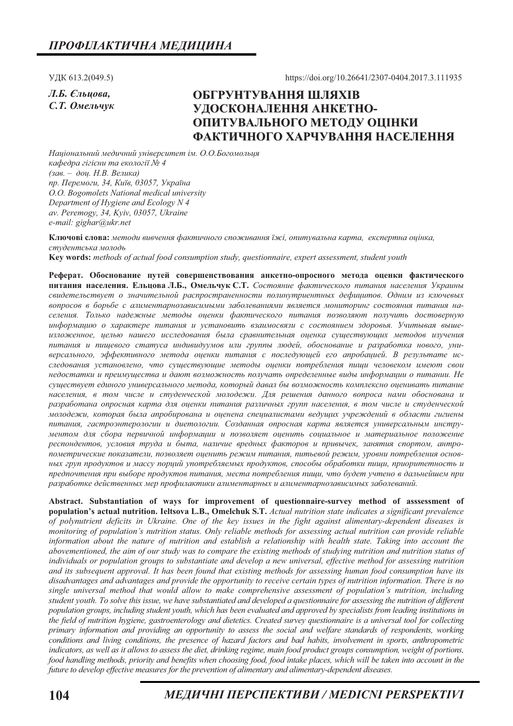УДК 613.2(049.5)

Л.Б. Єльцова. С.Т. Омельчук https://doi.org/10.26641/2307-0404.2017.3.111935

# ОБГРУНТУВАННЯ ШЛЯХІВ УДОСКОНАЛЕННЯ АНКЕТНО-ОПИТУВАЛЬНОГО МЕТОДУ ОЦІНКИ ФАКТИЧНОГО ХАРЧУВАННЯ НАСЕЛЕННЯ

Національний медичний університет ім. О.О.Богомольця кафедра гігієни та екології № 4  $(3a-*0*a<sub>1</sub>, H.B. \n*Benuka*)$ пр. Перемоги, 34, Київ, 03057, Україна O.O. Bogomolets National medical university Department of Hygiene and Ecology N 4 av. Peremogy, 34, Kyiv, 03057, Ukraine e-mail: gighar@ukr.net

Ключові слова: методи вивчення фактичного споживання їжі, опитувальна карта, експертна оцінка, студентська молодь Key words: methods of actual food consumption study, questionnaire, expert assessment, student youth

Реферат. Обоснование путей совершенствования анкетно-опросного метода оценки фактического

питания населения. Ельцова Л.Б., Омельчук С.Т. Состояние фактического питания населения Украины свидетельствует о значительной распространенности полинутриентных дефицитов. Одним из ключевых вопросов в борьбе с алиментарнозависимыми заболеваниями является мониторинг состояния питания населения. Только надежные методы оценки фактического питания позволяют получить достоверную информацию о характере питания и установить взаимосвязи с состоянием здоровья. Учитывая вышеизложенное, целью нашего исследования была сравнительная оценка существующих методов изучения питания и пищевого статуса индивидуумов или группы людей, обоснование и разработка нового, универсального, эффективного метода оценки питания с последующей его апробацией. В результате исследования установлено, что существующие методы оценки потребления пищи человеком имеют свои недостатки и преимущества и дают возможность получать определенные виды информации о питании. Не сушествует единого универсального метода, который давал бы возможность комплексно оценивать питание населения, в том числе и студенческой молодежи. Для решения данного вопроса нами обоснована и разработана опросная карта для оценки питания различных групп населения, в том числе и студенческой молодежи, которая была апробирована и оценена специалистами ведущих учреждений в области гигиены питания, гастроэнтерологии и диетологии. Созданная опросная карта является универсальным инструментом для сбора первичной информации и позволяет оценить социальное и материальное положение респондентов, условия труда и быта, наличие вредных факторов и привычек, занятия спортом, антропометрические показатели, позволяет оценить режим питания, питьевой режим, уровни потребления основных груп продуктов и массу порций употребляемых продуктов, способы обработки пищи, приоритетность и предпочтения при выборе продуктов питания, места потребления пищи, что будет учтено в дальнейшем при разработке действенных мер профилактики алиментарных и алиментарнозависимых заболеваний.

Abstract. Substantiation of ways for improvement of questionnaire-survey method of asssessment of population's actual nutrition. Ieltsova L.B., Omelchuk S.T. Actual nutrition state indicates a significant prevalence of polynutrient deficits in Ukraine. One of the key issues in the fight against alimentary-dependent diseases is monitoring of population's nutrition status. Only reliable methods for assessing actual nutrition can provide reliable information about the nature of nutrition and establish a relationship with health state. Taking into account the abovementioned, the aim of our study was to compare the existing methods of studying nutrition and nutrition status of individuals or population groups to substantiate and develop a new universal, effective method for assessing nutrition and its subsequent approval. It has been found that existing methods for assessing human food consumption have its disadvantages and advantages and provide the opportunity to receive certain types of nutrition information. There is no single universal method that would allow to make comprehensive assessment of population's nutrition, including student youth. To solve this issue, we have substantiated and developed a questionnaire for assessing the nutrition of different population groups, including student youth, which has been evaluated and approved by specialists from leading institutions in the field of nutrition hygiene, gastroenterology and dietetics. Created survey questionnaire is a universal tool for collecting primary information and providing an opportunity to assess the social and welfare standards of respondents, working conditions and living conditions, the presence of hazard factors and bad habits, involvement in sports, anthropometric indicators, as well as it allows to assess the diet, drinking regime, main food product groups consumption, weight of portions, food handling methods, priority and benefits when choosing food, food intake places, which will be taken into account in the future to develop effective measures for the prevention of alimentary and alimentary-dependent diseases.

МЕДИЧНІ ПЕРСПЕКТИВИ / MEDICNI PERSPEKTIVI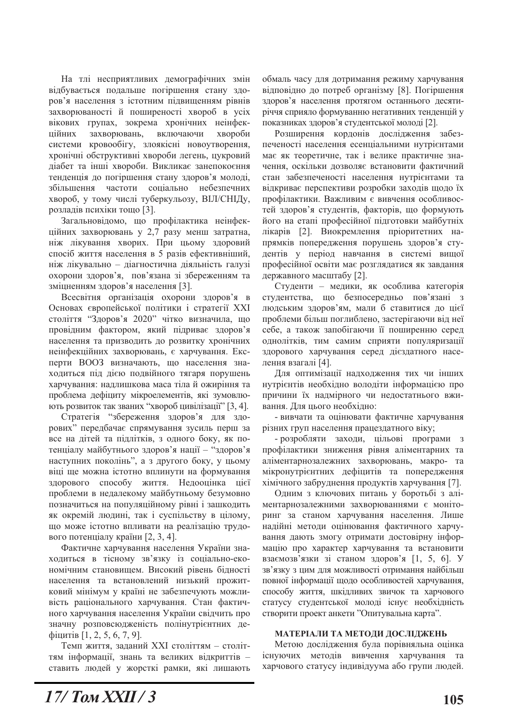На тлі несприятливих демографічних змін відбувається подальше погіршення стану здоров'я населення з істотним підвищенням рівнів захворюваності й поширеності хвороб в усіх вікових групах, зокрема хронічних неінфекпійних захворювань, включаючи хвороби системи кровообігу, злоякісні новоутворення, хронічні обструктивні хвороби легень, цукровий діабет та інші хвороби. Викликає занепокоєння тенденція до погіршення стану здоров'я молоді, збільшення частоти соціально небезпечних хвороб, у тому числі туберкульозу, ВІЛ/СНІДу, розладів психіки тощо [3].

Загальновідомо, що профілактика неінфекційних захворювань у 2,7 разу менш затратна, ніж лікування хворих. При цьому здоровий спосіб життя населення в 5 разів ефективніший, ніж лікувально - діагностична діяльність галузі охорони здоров'я, пов'язана зі збереженням та зміцненням здоров'я населення [3].

Всесвітня організація охорони здоров'я в Основах європейської політики і стратегії XXI століття "Здоров'я 2020" чітко визначила, що провідним фактором, який підриває здоров'я населення та призводить до розвитку хронічних неінфекційних захворювань, є харчування. Експерти ВООЗ визначають, що населення знаходиться під дією подвійного тягаря порушень харчування: надлишкова маса тіла й ожиріння та проблема дефіциту мікроелементів, які зумовлюють розвиток так званих "хвороб цивілізації" [3, 4].

Стратегія "збереження здоров'я для здорових" передбачає спрямування зусиль перш за все на дітей та підлітків, з одного боку, як потенціалу майбутнього здоров'я нації - "здоров'я наступних поколінь", а з другого боку, у цьому віці ще можна істотно вплинути на формування здорового способу життя. Недооцінка цієї проблеми в недалекому майбутньому безумовно позначиться на популяційному рівні і зашкодить як окремій людині, так і суспільству в цілому, що може істотно впливати на реалізацію трудового потенціалу країни [2, 3, 4].

Фактичне харчування населення України знаходиться в тісному зв'язку із соціально-економічним становищем. Високий рівень бідності населення та встановлений низький прожитковий мінімум у країні не забезпечують можливість раціонального харчування. Стан фактичного харчування населення України свідчить про значну розповсюдженість полінутрієнтних де- $\phi$ іцитів [1, 2, 5, 6, 7, 9].

Темп життя, заданий XXI століттям - століттям інформації, знань та великих відкриттів ставить людей у жорсткі рамки, які лишають обмаль часу для дотримання режиму харчування відповідно до потреб організму [8]. Погіршення здоров'я населення протягом останнього десятиріччя сприяло формуванню негативних тенденцій у показниках здоров'я студентської молоді [2].

Розширення кордонів дослідження забезпеченості населення есенціальними нутрієнтами має як теоретичне, так і велике практичне значення, оскільки дозволяє встановити фактичний стан забезпеченості населення нутрієнтами та відкриває перспективи розробки заходів щодо їх профілактики. Важливим є вивчення особливостей здоров'я студентів, факторів, що формують його на етапі професійної підготовки майбутніх лікарів [2]. Виокремлення пріоритетних напрямків попередження порушень здоров'я студентів у період навчання в системі вищої професійної освіти має розглядатися як завдання державного масштабу [2].

Студенти - медики, як особлива категорія студентства, що безпосередньо пов'язані з людським здоров'ям, мали б ставитися до цієї проблеми більш поглиблено, застерігаючи від неї себе, а також запобігаючи її поширенню серед однолітків, тим самим сприяти популяризації здорового харчування серед дієздатного населення взагалі [4].

Лля оптимізації налхолження тих чи інших нутрієнтів необхідно володіти інформацією про причини їх надмірного чи недостатнього вживання. Для цього необхідно:

- вивчати та оцінювати фактичне харчування різних груп населення працездатного віку;

- розробляти заходи, цільові програми з профілактики зниження рівня аліментарних та аліментарнозалежних захворювань, макро- та мікронутрієнтних дефіцитів та попередження хімічного забруднення продуктів харчування [7].

Одним з ключових питань у боротьбі з аліментарнозалежними захворюваннями є моніторинг за станом харчування населення. Лише надійні методи оцінювання фактичного харчування дають змогу отримати достовірну інформацію про характер харчування та встановити взаємозв'язки зі станом здоров'я [1, 5, 6]. У зв'язку з цим для можливості отримання найбільш повної інформації щодо особливостей харчування, способу життя, шкідливих звичок та харчового статусу студентської молоді існує необхідність створити проект анкети "Опитувальна карта".

### МАТЕРІАЛИ ТА МЕТОДИ ДОСЛІДЖЕНЬ

Метою дослідження була порівняльна оцінка існуючих методів вивчення харчування та харчового статусу індивідуума або групи людей.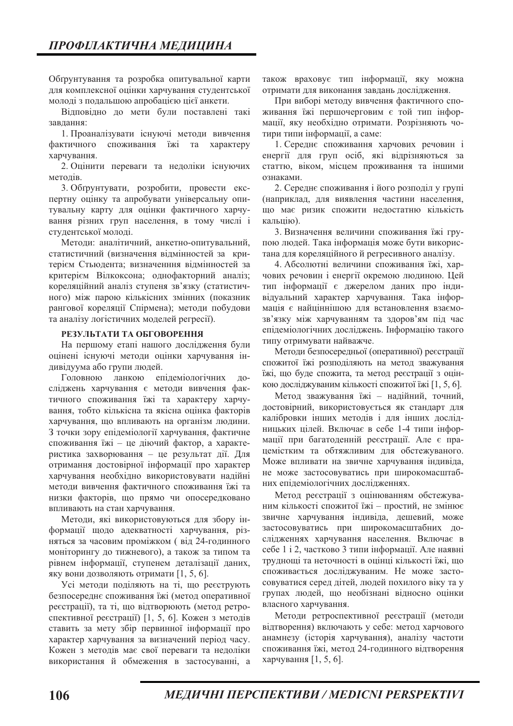Обґрунтування та розробка опитувальної карти для комплексної оцінки харчування студентської молоді з подальшою апробацією цієї анкети.

Відповідно до мети були поставлені такі завдання:

1. Проаналізувати існуючі методи вивчення фактичного споживання їжі та характеру харчування.

2. Оцінити переваги та недоліки існуючих метолів

3. Обгрунтувати, розробити, провести експертну оцінку та апробувати універсальну опитувальну карту для оцінки фактичного харчування різних груп населення, в тому числі і студентської молоді.

Методи: аналітичний, анкетно-опитувальний, статистичний (визначення відмінностей за критерієм Стьюдента; визначенння відмінностей за критерієм Вілкоксона; однофакторний аналіз; кореляційний аналіз ступеня зв'язку (статистичного) між парою кількісних змінних (показник рангової кореляції Спірмена); методи побудови та аналізу логістичних моделей регресії).

### РЕЗУЛЬТАТИ ТА ОБГОВОРЕННЯ

На першому етапі нашого дослідження були оцінені існуючі методи оцінки харчування індивідуума або групи людей.

Головною ланкою епідеміологічних  $\pi$ oсліджень харчування є методи вивчення фактичного споживання їжі та характеру харчування, тобто кількісна та якісна оцінка факторів харчування, що впливають на організм людини. 3 точки зору епідеміології харчування, фактичне споживання їжі - це діючий фактор, а характеристика захворювання - це результат дії. Для отримання достовірної інформації про характер харчування необхідно використовувати надійні метоли вивчення фактичного споживання їжі та низки факторів, що прямо чи опосередковано впливають на стан харчування.

Методи, які використовуються для збору інформації щодо адекватності харчування, різняться за часовим проміжком (від 24-годинного моніторингу до тижневого), а також за типом та рівнем інформації, ступенем деталізації даних, яку вони дозволяють отримати [1, 5, 6].

Усі методи поділяють на ті, що реєструють безпосереднє споживання їжі (метод оперативної реєстрації), та ті, що відтворюють (метод ретроспективної реєстрації) [1, 5, 6]. Кожен з методів ставить за мету збір первинної інформації про характер харчування за визначений період часу. Кожен з методів має свої переваги та недоліки використання й обмеження в застосуванні, а

також враховує тип інформації, яку можна отримати для виконання завдань дослідження.

При виборі методу вивчення фактичного споживання їжі першочерговим є той тип інформації, яку необхідно отримати. Розрізняють чотири типи інформації, а саме:

1. Середнє споживання харчових речовин і енергії для груп осіб, які відрізняються за статтю, віком, місцем проживання та іншими ознаками

2. Середнє споживання і його розподіл у групі (наприклад, для виявлення частини населення, що має ризик спожити недостатню кількість кальцію).

3. Визначення величини споживання їжі групою людей. Така інформація може бути використана для кореляційного й регресивного аналізу.

4. Абсолютні величини споживання їжі, харчових речовин і енергії окремою людиною. Цей тип інформації є джерелом даних про індивідуальний характер харчування. Така інформація є найціннішою для встановлення взаємозв'язку між харчуванням та здоров'ям під час епідеміологічних досліджень. Інформацію такого типу отримувати найважче.

Методи безпосередньої (оперативної) реєстрації спожитої їжі розподіляють на метод зважування їжі, що буде спожита, та метод реєстрації з оцінкою досліджуваним кількості спожитої їжі [1, 5, 6].

Метод зважування їжі - надійний, точний, достовірний, використовується як стандарт для калібровки інших методів і для інших дослідницьких цілей. Включає в себе 1-4 типи інформації при багатоденній реєстрації. Але є працемістким та обтяжливим для обстежуваного. Може впливати на звичне харчування індивіда, не може застосовуватись при широкомасштабних епілеміологічних лослілженнях.

Метод реєстрації з оцінюванням обстежуваним кількості спожитої їжі - простий, не змінює звичне харчування індивіда, дешевий, може застосовуватись при широкомасштабних дослідженнях харчування населення. Включає в себе 1 і 2, частково 3 типи інформації. Але наявні труднощі та неточності в оцінці кількості їжі, що споживається досліджуваним. Не може застосовуватися серед дітей, людей похилого віку та у групах людей, що необізнані відносно оцінки власного харчування.

Методи ретроспективної реєстрації (методи відтворення) включають у себе: метод харчового анамнезу (історія харчування), аналізу частоти споживання їжі, метод 24-годинного відтворення харчування [1, 5, 6].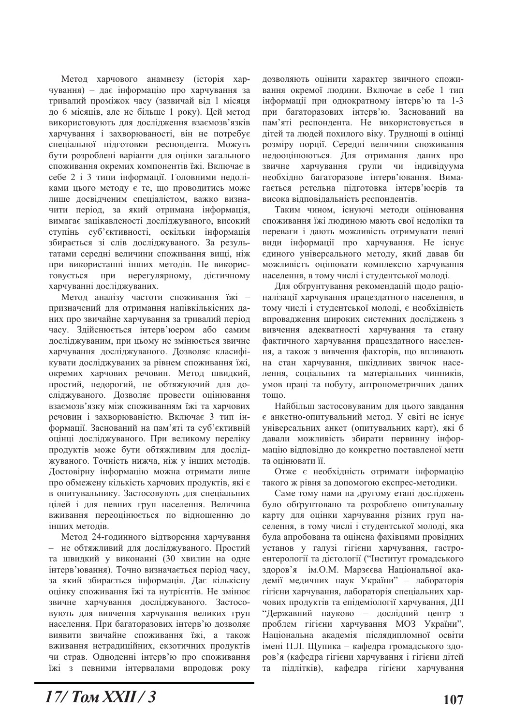Метод харчового анамнезу (історія харчування) - дає інформацію про харчування за тривалий проміжок часу (зазвичай від 1 місяця до 6 місяців, але не більше 1 року). Цей метод використовують для дослідження взаємозв'язків харчування і захворюваності, він не потребує спеціальної підготовки респондента. Можуть бути розроблені варіанти для оцінки загального споживання окремих компонентів їжі. Включає в себе 2 і 3 типи інформації. Головними недоліками цього методу є те, що проводитись може лише досвідченим спеціалістом, важко визначити період, за який отримана інформація, вимагає зацікавленості досліджуваного, високий ступінь суб'єктивності, оскільки інформація збирається зі слів досліджуваного. За результатами середні величини споживання вищі, ніж при використанні інших методів. Не використовується при нерегулярному, дієтичному харчуванні досліджуваних.

Метод аналізу частоти споживання їжі призначений для отримання напівкількісних даних про звичайне харчування за тривалий період часу. Здійснюється інтерв'юером або самим досліджуваним, при цьому не змінюється звичне харчування досліджуваного. Дозволяє класифікувати досліджуваних за рівнем споживання їжі, окремих харчових речовин. Метод швидкий, простий, недорогий, не обтяжуючий для досліджуваного. Дозволяє провести оцінювання взаємозв'язку між споживанням їжі та харчових речовин і захворюваністю. Включає 3 тип інформації. Заснований на пам'яті та суб'єктивній оцінці досліджуваного. При великому переліку продуктів може бути обтяжливим для досліджуваного. Точність нижча, ніж у інших методів. Достовірну інформацію можна отримати лише про обмежену кількість харчових продуктів, які є в опитувальнику. Застосовують для спеціальних цілей і для певних груп населення. Величина вживання переоцінюється по вілношенню до інших метолів.

Метол 24-голинного вілтворення харчування не обтяжливий для досліджуваного. Простий  $\,$ та швидкий у виконанні (30 хвилин на одне інтерв'ювання). Точно визначається період часу, за який збирається інформація. Дає кількісну оцінку споживання їжі та нутрієнтів. Не змінює звичне харчування досліджуваного. Застосовують для вивчення харчування великих груп населення. При багаторазових інтерв'ю дозволяє виявити звичайне споживання їжі, а також вживання нетрадиційних, екзотичних продуктів чи страв. Одноденні інтерв'ю про споживання їжі з певними інтервалами впродовж року дозволяють оцінити характер звичного споживання окремої людини. Включає в себе 1 тип інформації при однократному інтерв'ю та 1-3 при багаторазових інтерв'ю. Заснований на пам'яті респондента. Не використовується в дітей та людей похилого віку. Труднощі в оцінці розміру порції. Середні величини споживання недооцінюються. Для отримання даних про звичне харчування групи чи індивідуума необхідно багаторазове інтерв'ювання. Вимагається ретельна підготовка інтерв'ю ерів та висока відповідальність респондентів.

Таким чином, існуючі методи оцінювання споживання їжі людиною мають свої недоліки та переваги і дають можливість отримувати певні види інформації про харчування. Не існує єдиного універсального методу, який давав би можливість оцінювати комплексно харчування населення, в тому числі і студентської молоді.

Для обгрунтування рекомендацій щодо раціоналізації харчування працездатного населення, в тому числі і студентської молоді, є необхідність впровадження широких системних досліджень з вивчення адекватності харчування та стану фактичного харчування працездатного населення, а також з вивчення факторів, що впливають на стан харчування, шкідливих звичок населення, соціальних та матеріальних чинників, умов праці та побуту, антропометричних даних тошо.

Найбільш застосовуваним для цього завдання є анкетно-опитувальний метод. У світі не існує універсальних анкет (опитувальних карт), які б давали можливість збирати первинну інформацію відповідно до конкретно поставленої мети та опінювати її.

Отже є необхідність отримати інформацію такого ж рівня за допомогою експрес-методики.

Саме тому нами на другому етапі досліджень було обгрунтовано та розроблено опитувальну карту для оцінки харчування різних груп населення, в тому числі і студентської молоді, яка була апробована та оцінена фахівцями провідних установ у галузі гігієни харчування, гастроентерології та дієтології ("Інститут громадського здоров'я ім. О. М. Марзєєва Національної академії медичних наук України" - лабораторія гігієни харчування, лабораторія спеціальних харчових продуктів та епідеміології харчування, ДП "Державний науково - дослідний центр з проблем гігієни харчування МОЗ України", Національна академія післядипломної освіти імені П.Л. Щупика - кафедра громадського здоров'я (кафедра гігієни харчування і гігієни дітей та підлітків), кафедра гігієни харчування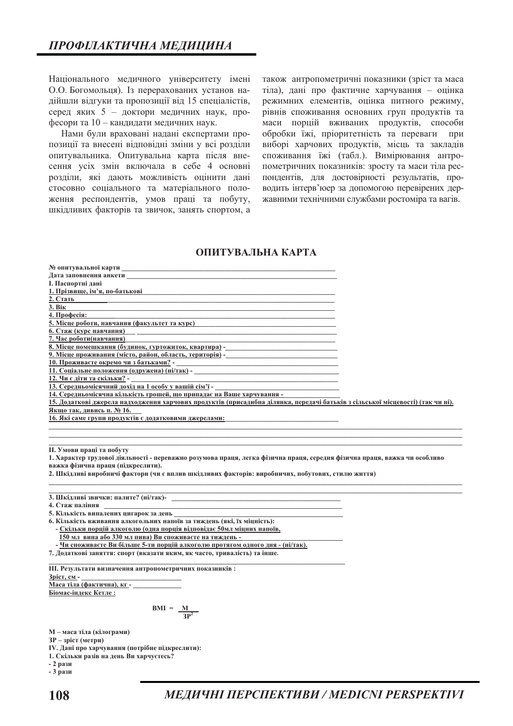Національного медичного університету імені О.О. Богомольця). Із перерахованих установ надійшли відгуки та пропозиції від 15 спеціалістів, серед яких 5 - доктори медичних наук, професори та 10 - кандидати медичних наук.

Нами були враховані надані експертами пропозиції та внесені відповідні зміни у всі розділи опитувальника. Опитувальна карта після внесення усіх змін включала в себе 4 основні розділи, які дають можливість оцінити дані стосовно соціального та матеріального положення респондентів, умов праці та побуту, шкідливих факторів та звичок, занять спортом, а

також антропометричні показники (зріст та маса тіла), дані про фактичне харчування - оцінка режимних елементів, оцінка питного режиму, рівнів споживання основних груп продуктів та маси порцій вживаних продуктів, способи обробки їжі, пріоритетність та переваги при виборі харчових продуктів, місць та закладів споживання їжі (табл.). Вимірювання антропометричних показників: зросту та маси тіла респондентів, для достовірності результатів, проводить інтерв'юер за допомогою перевірених державними технічними службами ростоміра та вагів.

## ОПИТУВАЛЬНА КАРТА

| <b>І. Паспортні дані</b>                                                                                                                                    |  |
|-------------------------------------------------------------------------------------------------------------------------------------------------------------|--|
| 1. Прізвище, ім'я, по-батькові                                                                                                                              |  |
| 2. Стать                                                                                                                                                    |  |
| 3. Bik                                                                                                                                                      |  |
| 4. Професія:                                                                                                                                                |  |
| 5. Місце роботи, навчання (факультет та курс)                                                                                                               |  |
| 6. Стаж (курс навчання)                                                                                                                                     |  |
| 7. Час роботи(навчання)                                                                                                                                     |  |
| 8. Місце помешкання (будинок, гуртожиток, квартира) -<br>                                                                                                   |  |
| 9. Місце проживання (місто, район, область, територія) -                                                                                                    |  |
| 10. Проживаєте окремо чи з батьками? -                                                                                                                      |  |
| 11. Соціальне положення (одружена) (ні/так) -                                                                                                               |  |
| 12. Чи є діти та скільки? -                                                                                                                                 |  |
| 13. Середньомісячний дохід на 1 особу у вашій сім'ї - Полиманичного політичного політичного по-                                                             |  |
| 14. Середньомісячна кількість грошей, що припадає на Ваше харчування -                                                                                      |  |
| 15. Додаткові джерела надходження харчових продуктів (присадибна ділянка, передачі батьків з сільської місцевості) (так чи ні).                             |  |
| Якщо так, дивись п. № 16.                                                                                                                                   |  |
| 16. Які саме групи продуктів є додатковими джерелами:                                                                                                       |  |
| II. Умови праці та побуту<br>1. Характер трудової діяльності - переважно розумова праця, легка фізична праця, середня фізична праця, важка чи особливо      |  |
| важка фізична праця (підкреслити).                                                                                                                          |  |
| 2. Шкідливі виробничі фактори (чи є вплив шкідливих факторів: виробничих, побутових, стилю життя)                                                           |  |
|                                                                                                                                                             |  |
| 3. Шкідливі звички: палите? (ні/так)-<br>Шкідливі звички: палите? (ні/так)-<br>4. Стаж паління                                                              |  |
|                                                                                                                                                             |  |
| 5. Кількість випалених цигарок за день                                                                                                                      |  |
| 6. Кількість вживання алкогольних напоїв за тиждень (які, їх міцність):                                                                                     |  |
| - Скільки порцій алкоголю (одна порція відповідає 50мл міцних напоїв,<br>150 мл вина або 330 мл пива) Ви споживаєте на тиждень -                            |  |
|                                                                                                                                                             |  |
| - Чи споживаєте Ви більше 5-ти порцій алкоголю протягом одного дня - (ні/так).<br>7. Додаткові заняття: спорт (вказати яким, як часто, тривалість) та інше. |  |
| III. Результати визначення антропометричних показників:                                                                                                     |  |
| Зріст, см-                                                                                                                                                  |  |
| Маса тіла (фактична), кг-<br>$\Gamma$ iovos ingovo $\Gamma$ orgo $\cdot$                                                                                    |  |

Біомас-індекс Кетле:

 $BMI = \frac{M}{3P^2}$ 

М - маса тіла (кілограми)

**3P** - зріст (метри)

IV. Дані про харчування (потрібне підкреслити):

1. Скільки разів на день Ви харчуєтесь?

- 2 рази

- 3 рази

МЕДИЧНІ ПЕРСПЕКТИВИ / MEDICNI PERSPEKTIVI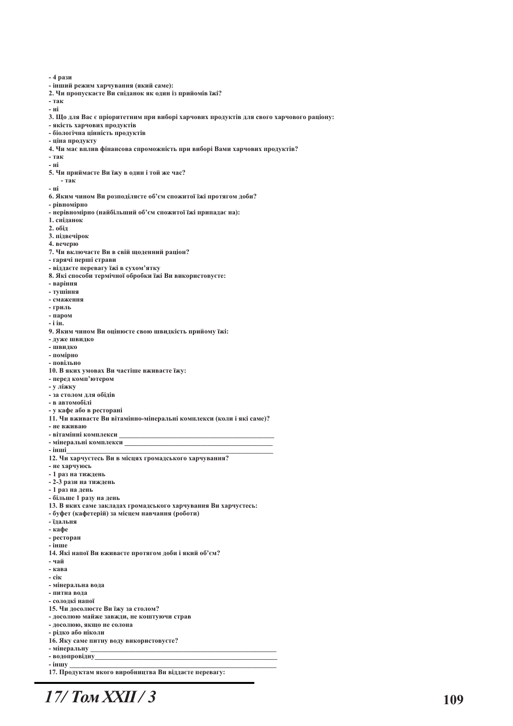-4 рази - інший режим харчування (який саме): 2. Чи пропускасте Ви сніданок як один із прийомів їжі? - так - ні 3. Що для Вас є пріоритетним при виборі харчових продуктів для свого харчового раціону: - якість харчових продуктів - біологічна цінність продуктів - піна пролукту 4. Чи має вплив фінансова спроможність при виборі Вами харчових продуктів?  $-**T**a<sup>K</sup>$ - ні 5. Чи приймасте Ви їжу в один і той же час? - так - ні 6. Яким чином Ви розполіляєте об'єм спожитої їжі протягом лоби? - рівномірно - нерівномірно (найбільший об'єм спожитої їжі припадає на): 1. сніданок  $2.06i\pi$ 3. підвечірок 4. вечерю 7. Чи включаєте Ви в свій щоденний раціон? - гарячі перші страви - віддаєте перевагу їжі в сухом'ятку 8. Які способи термічної обробки їжі Ви використовуєте: - варіння - тушіння - смаження - гриль - паром - і ін. 9. Яким чином Ви оцінюєте свою швидкість прийому їжі: - дуже швидко  $-$  HIRMINO - помірно - повільно 10. В яких умовах Ви частіше вживаєте їжу: - перед комп'ютером - у ліжку - за столом для обідів - в автомобілі - у кафе або в ресторані 11. Чи вживаєте Ви вітамінно-мінеральні комплекси (коли і які саме)? - не вживаю - вітамінні комплекси - мінеральні комплекси - інші 12. Чи харчуєтесь Ви в місцях громадського харчування? - не харчуюсь - 1 раз на тиждень - 2-3 рази на тиждень - 1 раз на день - більше 1 разу на день 13. В яких саме закладах громадського харчування Ви харчуєтесь: - буфет (кафетерій) за місцем навчання (роботи) - їлальня - кафе - ресторан  $-\overline{\mathbf{i}}$ нше 14. Які напої Ви вживаєте протягом доби і який об'єм? - чай - кава  $-$  ci $\kappa$ - мінеральна вода - питна вода - сололкі напої 15. Чи досолюєте Ви їжу за столом? - досолюю майже завжди, не коштуючи страв - досолюю, якщо не солона - рідко або ніколи 16. Яку саме питну воду використовуєте? - мінеральну - водопровідну - іншу 17. Продуктам якого виробництва Ви віддаєте перевагу:

# $17/$  Tom XXII / 3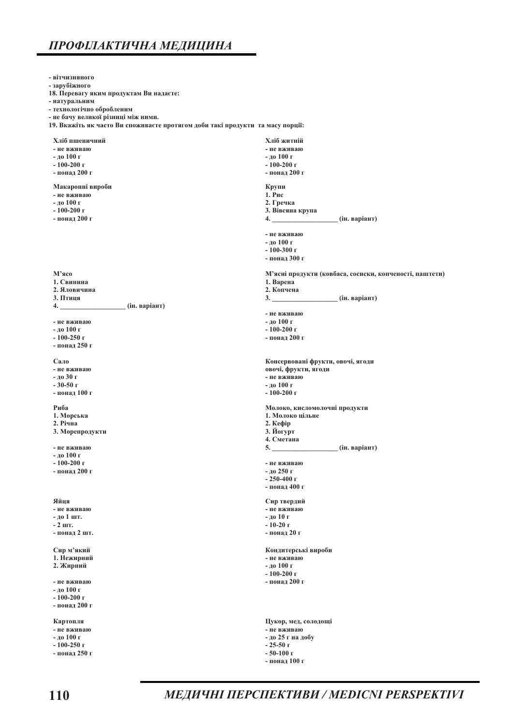# ПРОФІЛАКТИЧНА МЕДИЦИНА

- вітчизняного

- зарубіжного 18. Перевагу яким продуктам Ви надаєте: - натуральним - технологічно обробленим - не бачу великої різниці між ними. 19. Вкажіть як часто Ви споживаєте протягом доби такі продукти та масу порції: Хліб пшеничний Хліб житній - не вживаю - не вживаю -до 100 г - до 100 г  $-100-200$  r  $-100-200$  r - понад 200 г - понад 200 г Макаронні вироби Крупи  $1.$ Рис - не вживаю -до 100 г 2. Гречка  $-100-200$  r 3. Вівсяна крупа - понад 200 г (ін. варіант) 4. - не вживаю - до 100 г  $-100-300$  r - понад 300 г М'ясо М'ясні продукти (ковбаса, сосиски, копченості, паштети) 1. Свинина 1. Варена 2. Яловичина 2. Копчена 3. Птиця (ін. варіант)  $3.$ (ін. варіант)  $\overline{4}$ . - не вживаю - не вживаю -до 100 г - до 100 г  $-100-200$  r  $-100-250$  r - понад 200 г - понад 250 г Сало Консервовані фрукти, овочі, ягоди - не вживаю овочі, фрукти, ягоди -до 30 г - не вживаю  $-30-50$  r - до 100 г -понал 100 г  $-100-200$  r Риба Молоко, кисломолочні продукти 1. Морська 1. Молоко цільне 2. Річна  $2.$  Кефір 3. Морепродукти 3. Йогурт 4. Сметана - не вживаю (ін. варіант)  $5.$ -до 100 г  $-100-200$  r - не вживаю - до 250 г - понал 200 г  $-250-400$  r - понад 400 г Яйця Сир твердий - не вживаю - не вживаю -до 10 г - ло 1 шт.  $-2$  IIIT.  $-10-20r$ - понад 2 шт. - понад 20 г Сир м'який Кондитерські вироби 1. Нежирний - не вживаю 2. Жирний - до 100 г  $-100-200$  r - не вживаю - понад 200 г -до 100 г  $-100-200$  r - понад 200 г Картопля Цукор, мед, солодощі - не вживаю - не вживаю - до 100 г - до 25 г на добу  $-100-250$  r  $-25-50$  T - понад 250 г  $-50-100$  r - понад 100 г

МЕДИЧНІ ПЕРСПЕКТИВИ / MEDICNI PERSPEKTIVI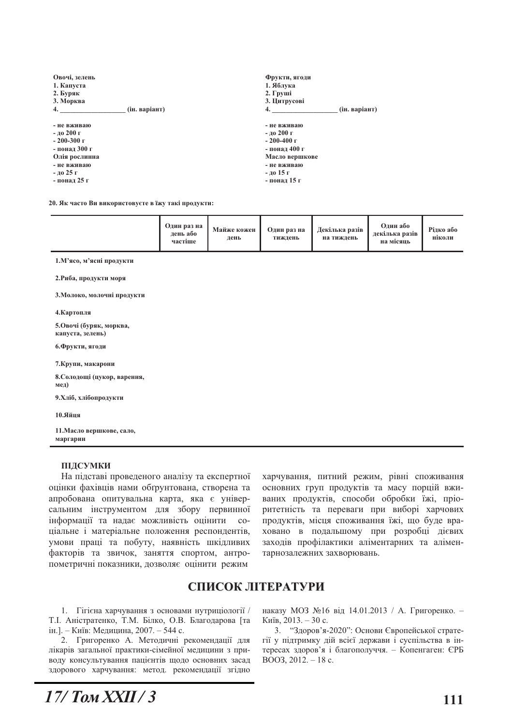| Овочі, зелень<br>1. Капуста<br>2. Буряк<br>3. Морква<br>4.                                                                    | (ін. варіант) | Фрукти, ягоди<br>1. Яблука<br>2. Груші<br>3. Цитрусові<br>4.                                                                   | (ін. варіант) |
|-------------------------------------------------------------------------------------------------------------------------------|---------------|--------------------------------------------------------------------------------------------------------------------------------|---------------|
| - не вживаю<br>- до 200 г<br>$-200-300$ $\Gamma$<br>- понал 300 г<br>Олія рослинна<br>- не вживаю<br>-до 25 г<br>- понал 25 г |               | - не вживаю<br>- ло 200 г<br>$-200-400$ $\Gamma$<br>- понал 400 г<br>Масло вершкове<br>- не вживаю<br>-до 15 г<br>- понад 15 г |               |

20. Як часто Ви використовуєте в їжу такі продукти:

| Один раз на<br>лень або<br>частіше | Майже кожен<br>день | Один раз на<br>тиждень | Декілька разів<br>на тиждень | Один або<br>лекілька разів<br>на місяць | Рідко або<br>ніколи |
|------------------------------------|---------------------|------------------------|------------------------------|-----------------------------------------|---------------------|
|------------------------------------|---------------------|------------------------|------------------------------|-----------------------------------------|---------------------|

1. М'ясо, м'ясні продукти

2. Риба, продукти моря

3. Молоко, молочні продукти

4. Картопля

5.Овочі (буряк, морква, капуста, зелень)

6. Фрукти, ягоди

7. Крупи, макарони

8. Солодощі (цукор, варення, мед)

9. Хліб, хлібопродукти

10 *<u>T</u>ima* 

11. Масло вершкове, сало, маргарин

#### ПІДСУМКИ

На підставі проведеного аналізу та експертної оцінки фахівців нами обґрунтована, створена та апробована опитувальна карта, яка є універсальним інструментом для збору первинної інформації та надає можливість оцінити  $CO<sub>2</sub>$ ціальне і матеріальне положення респондентів, умови праці та побуту, наявність шкідливих факторів та звичок, заняття спортом, антропометричні показники, дозволяє оцінити режим

харчування, питний режим, рівні споживання основних груп продуктів та масу порцій вживаних продуктів, способи обробки їжі, пріоритетність та переваги при виборі харчових продуктів, місця споживання їжі, що буде враховано в подальшому при розробці дієвих заходів профілактики аліментарних та аліментарнозалежних захворювань.

## СПИСОК ЛІТЕРАТУРИ

1. Гігієна харчування з основами нутриціології / Т.І. Аністратенко, Т.М. Білко, О.В. Благодарова [та ін.]. - Київ: Медицина, 2007. - 544 с.

2. Григоренко А. Методичні рекомендації для лікарів загальної практики-сімейної медицини з приводу консультування пацієнтів щодо основних засад здорового харчування: метод. рекомендації згідно

наказу МОЗ №16 від 14.01.2013 / А. Григоренко. -Київ, 2013. - 30 с.

3. "Здоров'я-2020": Основи Європейської стратегії у підтримку дій всієї держави і суспільства в інтересах здоров'я і благополуччя. - Копенгаген: ЄРБ BOO3,  $2012 - 18$  c.